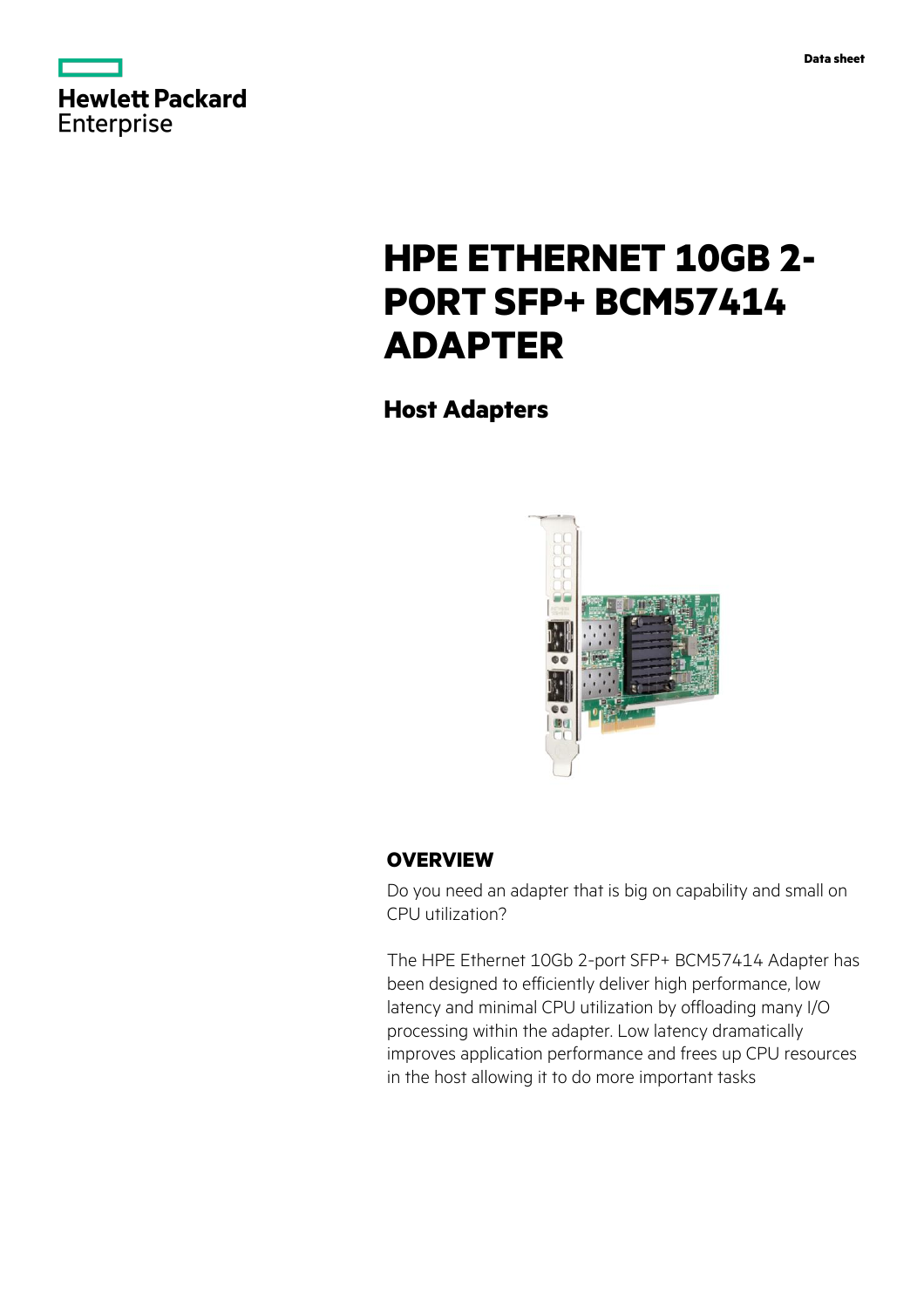



# **HPE ETHERNET 10GB 2- PORT SFP+ BCM57414 ADAPTER**

**Host Adapters**



## **OVERVIEW**

Do you need an adapter that is big on capability and small on CPU utilization?

The HPE Ethernet 10Gb 2-port SFP+ BCM57414 Adapter has been designed to efficiently deliver high performance, low latency and minimal CPU utilization by offloading many I/O processing within the adapter. Low latency dramatically improves application performance and frees up CPU resources in the host allowing it to do more important tasks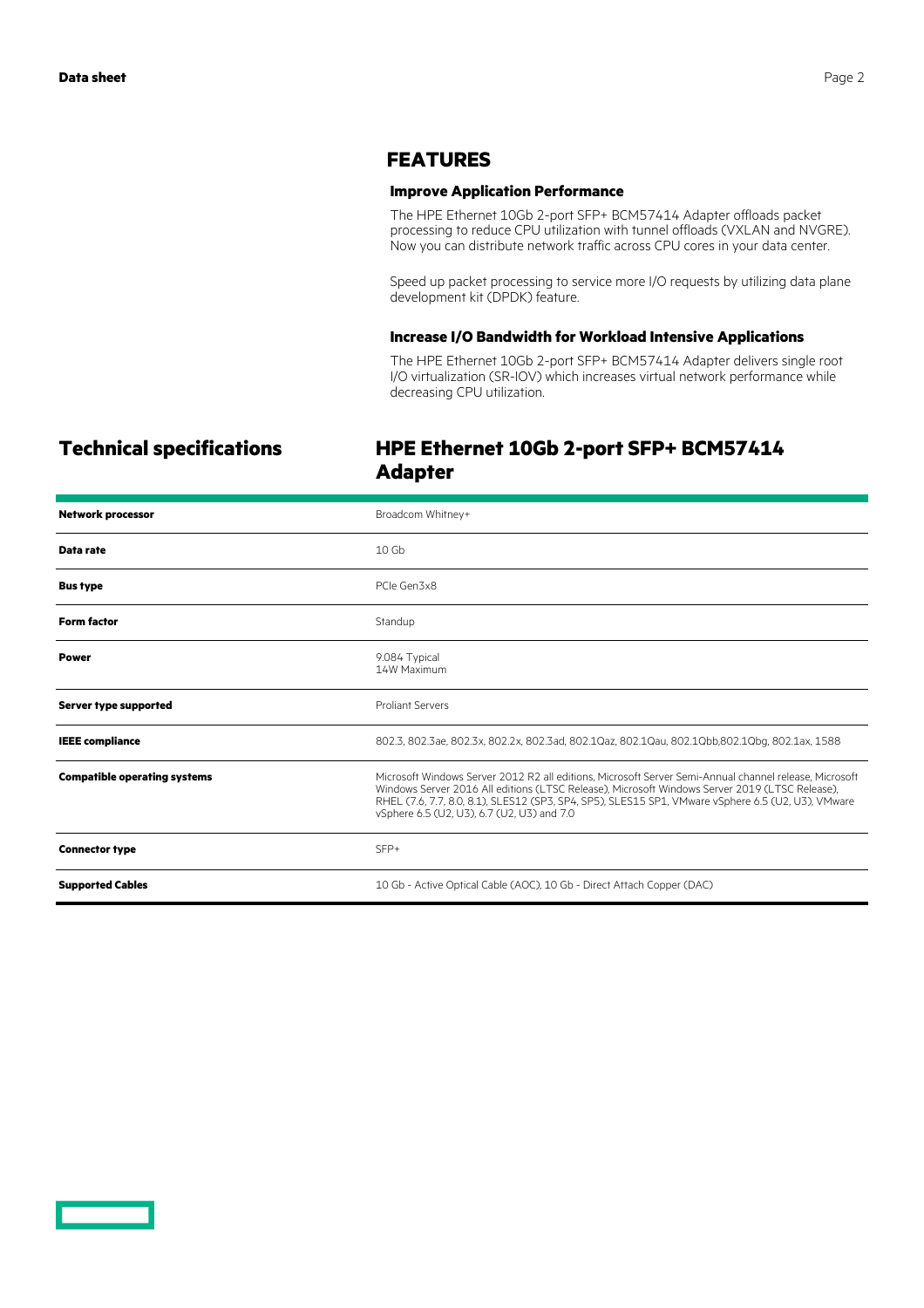## **FEATURES**

### **Improve Application Performance**

The HPE Ethernet 10Gb 2-port SFP+ BCM57414 Adapter offloads packet processing to reduce CPU utilization with tunnel offloads (VXLAN and NVGRE). Now you can distribute network traffic across CPU cores in your data center.

Speed up packet processing to service more I/O requests by utilizing data plane development kit (DPDK) feature.

#### **Increase I/O Bandwidth for Workload Intensive Applications**

The HPE Ethernet 10Gb 2-port SFP+ BCM57414 Adapter delivers single root I/O virtualization (SR-IOV) which increases virtual network performance while decreasing CPU utilization.

# **Technical specifications HPE Ethernet 10Gb 2-port SFP+ BCM57414 Adapter**

| <b>Network processor</b>            | Broadcom Whitney+                                                                                                                                                                                                                                                                                                                                            |
|-------------------------------------|--------------------------------------------------------------------------------------------------------------------------------------------------------------------------------------------------------------------------------------------------------------------------------------------------------------------------------------------------------------|
| Data rate                           | 10 <sub>6b</sub>                                                                                                                                                                                                                                                                                                                                             |
| <b>Bus type</b>                     | PCIe Gen3x8                                                                                                                                                                                                                                                                                                                                                  |
| <b>Form factor</b>                  | Standup                                                                                                                                                                                                                                                                                                                                                      |
| <b>Power</b>                        | 9.084 Typical<br>14W Maximum                                                                                                                                                                                                                                                                                                                                 |
| <b>Server type supported</b>        | <b>Proliant Servers</b>                                                                                                                                                                                                                                                                                                                                      |
| <b>IEEE</b> compliance              | 802.3, 802.3ae, 802.3x, 802.2x, 802.3ad, 802.1Qaz, 802.1Qau, 802.1Qbb,802.1Qbq, 802.1ax, 1588                                                                                                                                                                                                                                                                |
| <b>Compatible operating systems</b> | Microsoft Windows Server 2012 R2 all editions, Microsoft Server Semi-Annual channel release, Microsoft<br>Windows Server 2016 All editions (LTSC Release), Microsoft Windows Server 2019 (LTSC Release),<br>RHEL (7.6, 7.7, 8.0, 8.1), SLES12 (SP3, SP4, SP5), SLES15 SP1, VMware vSphere 6.5 (U2, U3), VMware<br>vSphere 6.5 (U2, U3), 6.7 (U2, U3) and 7.0 |
| <b>Connector type</b>               | $SFP+$                                                                                                                                                                                                                                                                                                                                                       |
| <b>Supported Cables</b>             | 10 Gb - Active Optical Cable (AOC), 10 Gb - Direct Attach Copper (DAC)                                                                                                                                                                                                                                                                                       |